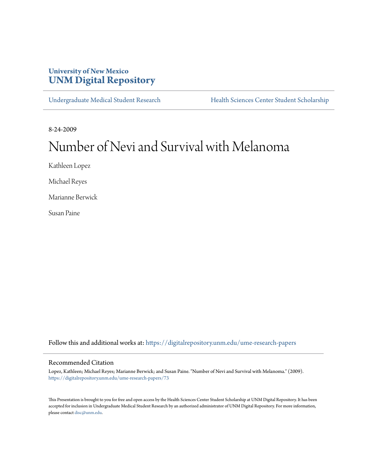# **University of New Mexico [UNM Digital Repository](https://digitalrepository.unm.edu?utm_source=digitalrepository.unm.edu%2Fume-research-papers%2F73&utm_medium=PDF&utm_campaign=PDFCoverPages)**

[Undergraduate Medical Student Research](https://digitalrepository.unm.edu/ume-research-papers?utm_source=digitalrepository.unm.edu%2Fume-research-papers%2F73&utm_medium=PDF&utm_campaign=PDFCoverPages) [Health Sciences Center Student Scholarship](https://digitalrepository.unm.edu/hsc-students?utm_source=digitalrepository.unm.edu%2Fume-research-papers%2F73&utm_medium=PDF&utm_campaign=PDFCoverPages)

8-24-2009

# Number of Nevi and Survival with Melanoma

Kathleen Lopez

Michael Reyes

Marianne Berwick

Susan Paine

Follow this and additional works at: [https://digitalrepository.unm.edu/ume-research-papers](https://digitalrepository.unm.edu/ume-research-papers?utm_source=digitalrepository.unm.edu%2Fume-research-papers%2F73&utm_medium=PDF&utm_campaign=PDFCoverPages)

#### Recommended Citation

Lopez, Kathleen; Michael Reyes; Marianne Berwick; and Susan Paine. "Number of Nevi and Survival with Melanoma." (2009). [https://digitalrepository.unm.edu/ume-research-papers/73](https://digitalrepository.unm.edu/ume-research-papers/73?utm_source=digitalrepository.unm.edu%2Fume-research-papers%2F73&utm_medium=PDF&utm_campaign=PDFCoverPages)

This Presentation is brought to you for free and open access by the Health Sciences Center Student Scholarship at UNM Digital Repository. It has been accepted for inclusion in Undergraduate Medical Student Research by an authorized administrator of UNM Digital Repository. For more information, please contact [disc@unm.edu.](mailto:disc@unm.edu)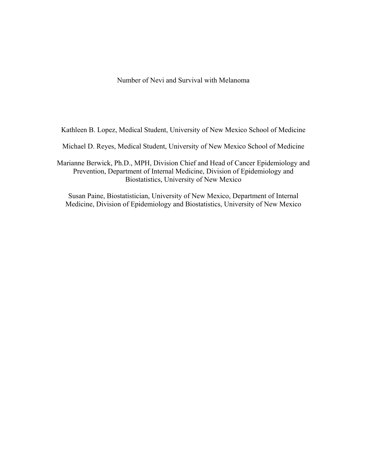Number of Nevi and Survival with Melanoma

Kathleen B. Lopez, Medical Student, University of New Mexico School of Medicine

Michael D. Reyes, Medical Student, University of New Mexico School of Medicine

Marianne Berwick, Ph.D., MPH, Division Chief and Head of Cancer Epidemiology and Prevention, Department of Internal Medicine, Division of Epidemiology and Biostatistics, University of New Mexico

Susan Paine, Biostatistician, University of New Mexico, Department of Internal Medicine, Division of Epidemiology and Biostatistics, University of New Mexico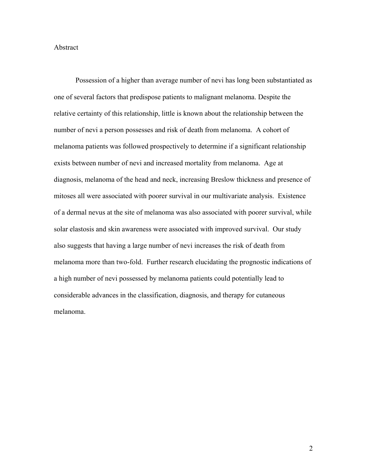#### Abstract

Possession of a higher than average number of nevi has long been substantiated as one of several factors that predispose patients to malignant melanoma. Despite the relative certainty of this relationship, little is known about the relationship between the number of nevi a person possesses and risk of death from melanoma. A cohort of melanoma patients was followed prospectively to determine if a significant relationship exists between number of nevi and increased mortality from melanoma. Age at diagnosis, melanoma of the head and neck, increasing Breslow thickness and presence of mitoses all were associated with poorer survival in our multivariate analysis. Existence of a dermal nevus at the site of melanoma was also associated with poorer survival, while solar elastosis and skin awareness were associated with improved survival. Our study also suggests that having a large number of nevi increases the risk of death from melanoma more than two-fold. Further research elucidating the prognostic indications of a high number of nevi possessed by melanoma patients could potentially lead to considerable advances in the classification, diagnosis, and therapy for cutaneous melanoma.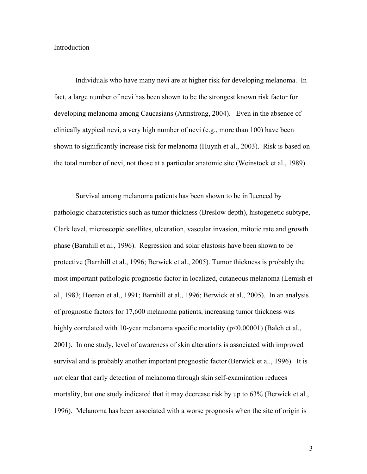#### Introduction

Individuals who have many nevi are at higher risk for developing melanoma. In fact, a large number of nevi has been shown to be the strongest known risk factor for developing melanoma among Caucasians (Armstrong, 2004). Even in the absence of clinically atypical nevi, a very high number of nevi (e.g., more than 100) have been shown to significantly increase risk for melanoma (Huynh et al., 2003). Risk is based on the total number of nevi, not those at a particular anatomic site (Weinstock et al., 1989).

Survival among melanoma patients has been shown to be influenced by pathologic characteristics such as tumor thickness (Breslow depth), histogenetic subtype, Clark level, microscopic satellites, ulceration, vascular invasion, mitotic rate and growth phase (Barnhill et al., 1996). Regression and solar elastosis have been shown to be protective (Barnhill et al., 1996; Berwick et al., 2005). Tumor thickness is probably the most important pathologic prognostic factor in localized, cutaneous melanoma (Lemish et al., 1983; Heenan et al., 1991; Barnhill et al., 1996; Berwick et al., 2005). In an analysis of prognostic factors for 17,600 melanoma patients, increasing tumor thickness was highly correlated with 10-year melanoma specific mortality ( $p<0.00001$ ) (Balch et al., 2001). In one study, level of awareness of skin alterations is associated with improved survival and is probably another important prognostic factor(Berwick et al., 1996). It is not clear that early detection of melanoma through skin self-examination reduces mortality, but one study indicated that it may decrease risk by up to 63% (Berwick et al., 1996). Melanoma has been associated with a worse prognosis when the site of origin is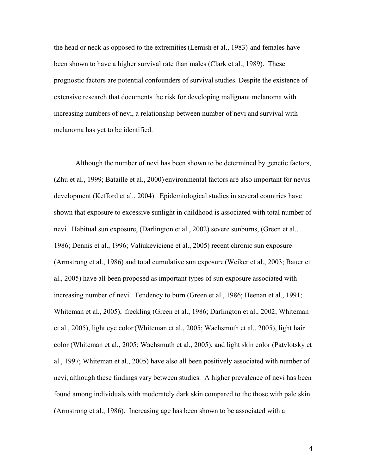the head or neck as opposed to the extremities(Lemish et al., 1983) and females have been shown to have a higher survival rate than males (Clark et al., 1989). These prognostic factors are potential confounders of survival studies. Despite the existence of extensive research that documents the risk for developing malignant melanoma with increasing numbers of nevi, a relationship between number of nevi and survival with melanoma has yet to be identified.

Although the number of nevi has been shown to be determined by genetic factors, (Zhu et al., 1999; Bataille et al., 2000) environmental factors are also important for nevus development (Kefford et al., 2004). Epidemiological studies in several countries have shown that exposure to excessive sunlight in childhood is associated with total number of nevi. Habitual sun exposure, (Darlington et al., 2002) severe sunburns, (Green et al., 1986; Dennis et al., 1996; Valiukeviciene et al., 2005) recent chronic sun exposure (Armstrong et al., 1986) and total cumulative sun exposure (Weiker et al., 2003; Bauer et al., 2005) have all been proposed as important types of sun exposure associated with increasing number of nevi. Tendency to burn (Green et al., 1986; Heenan et al., 1991; Whiteman et al., 2005), freckling (Green et al., 1986; Darlington et al., 2002; Whiteman et al., 2005), light eye color (Whiteman et al., 2005; Wachsmuth et al., 2005), light hair color (Whiteman et al., 2005; Wachsmuth et al., 2005), and light skin color (Patvlotsky et al., 1997; Whiteman et al., 2005) have also all been positively associated with number of nevi, although these findings vary between studies. A higher prevalence of nevi has been found among individuals with moderately dark skin compared to the those with pale skin (Armstrong et al., 1986). Increasing age has been shown to be associated with a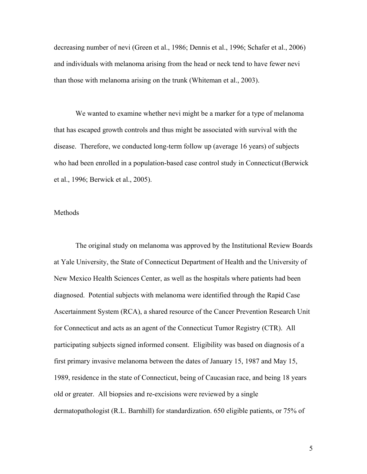decreasing number of nevi (Green et al., 1986; Dennis et al., 1996; Schafer et al., 2006) and individuals with melanoma arising from the head or neck tend to have fewer nevi than those with melanoma arising on the trunk (Whiteman et al., 2003).

We wanted to examine whether nevi might be a marker for a type of melanoma that has escaped growth controls and thus might be associated with survival with the disease. Therefore, we conducted long-term follow up (average 16 years) of subjects who had been enrolled in a population-based case control study in Connecticut(Berwick et al., 1996; Berwick et al., 2005).

#### Methods

The original study on melanoma was approved by the Institutional Review Boards at Yale University, the State of Connecticut Department of Health and the University of New Mexico Health Sciences Center, as well as the hospitals where patients had been diagnosed. Potential subjects with melanoma were identified through the Rapid Case Ascertainment System (RCA), a shared resource of the Cancer Prevention Research Unit for Connecticut and acts as an agent of the Connecticut Tumor Registry (CTR). All participating subjects signed informed consent. Eligibility was based on diagnosis of a first primary invasive melanoma between the dates of January 15, 1987 and May 15, 1989, residence in the state of Connecticut, being of Caucasian race, and being 18 years old or greater. All biopsies and re-excisions were reviewed by a single dermatopathologist (R.L. Barnhill) for standardization. 650 eligible patients, or 75% of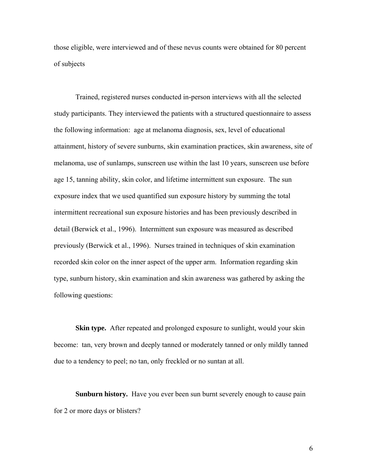those eligible, were interviewed and of these nevus counts were obtained for 80 percent of subjects

Trained, registered nurses conducted in-person interviews with all the selected study participants. They interviewed the patients with a structured questionnaire to assess the following information: age at melanoma diagnosis, sex, level of educational attainment, history of severe sunburns, skin examination practices, skin awareness, site of melanoma, use of sunlamps, sunscreen use within the last 10 years, sunscreen use before age 15, tanning ability, skin color, and lifetime intermittent sun exposure. The sun exposure index that we used quantified sun exposure history by summing the total intermittent recreational sun exposure histories and has been previously described in detail (Berwick et al., 1996). Intermittent sun exposure was measured as described previously (Berwick et al., 1996). Nurses trained in techniques of skin examination recorded skin color on the inner aspect of the upper arm. Information regarding skin type, sunburn history, skin examination and skin awareness was gathered by asking the following questions:

**Skin type.** After repeated and prolonged exposure to sunlight, would your skin become: tan, very brown and deeply tanned or moderately tanned or only mildly tanned due to a tendency to peel; no tan, only freckled or no suntan at all.

**Sunburn history.** Have you ever been sun burnt severely enough to cause pain for 2 or more days or blisters?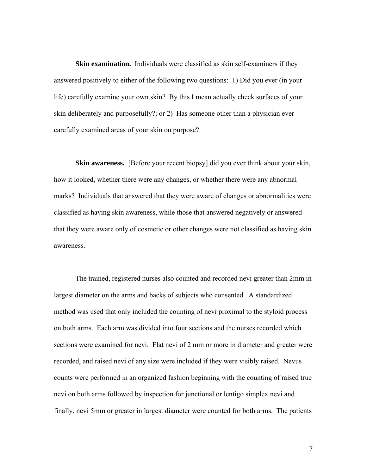**Skin examination.** Individuals were classified as skin self-examiners if they answered positively to either of the following two questions: 1) Did you ever (in your life) carefully examine your own skin? By this I mean actually check surfaces of your skin deliberately and purposefully?; or 2) Has someone other than a physician ever carefully examined areas of your skin on purpose?

**Skin awareness.** [Before your recent biopsy] did you ever think about your skin, how it looked, whether there were any changes, or whether there were any abnormal marks? Individuals that answered that they were aware of changes or abnormalities were classified as having skin awareness, while those that answered negatively or answered that they were aware only of cosmetic or other changes were not classified as having skin awareness.

The trained, registered nurses also counted and recorded nevi greater than 2mm in largest diameter on the arms and backs of subjects who consented. A standardized method was used that only included the counting of nevi proximal to the styloid process on both arms. Each arm was divided into four sections and the nurses recorded which sections were examined for nevi. Flat nevi of 2 mm or more in diameter and greater were recorded, and raised nevi of any size were included if they were visibly raised. Nevus counts were performed in an organized fashion beginning with the counting of raised true nevi on both arms followed by inspection for junctional or lentigo simplex nevi and finally, nevi 5mm or greater in largest diameter were counted for both arms. The patients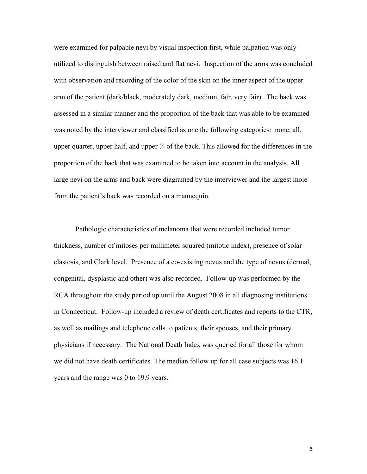were examined for palpable nevi by visual inspection first, while palpation was only utilized to distinguish between raised and flat nevi. Inspection of the arms was concluded with observation and recording of the color of the skin on the inner aspect of the upper arm of the patient (dark/black, moderately dark, medium, fair, very fair). The back was assessed in a similar manner and the proportion of the back that was able to be examined was noted by the interviewer and classified as one the following categories: none, all, upper quarter, upper half, and upper  $\frac{3}{4}$  of the back. This allowed for the differences in the proportion of the back that was examined to be taken into account in the analysis. All large nevi on the arms and back were diagramed by the interviewer and the largest mole from the patient's back was recorded on a mannequin.

Pathologic characteristics of melanoma that were recorded included tumor thickness, number of mitoses per millimeter squared (mitotic index), presence of solar elastosis, and Clark level. Presence of a co-existing nevus and the type of nevus (dermal, congenital, dysplastic and other) was also recorded. Follow-up was performed by the RCA throughout the study period up until the August 2008 in all diagnosing institutions in Connecticut. Follow-up included a review of death certificates and reports to the CTR, as well as mailings and telephone calls to patients, their spouses, and their primary physicians if necessary. The National Death Index was queried for all those for whom we did not have death certificates. The median follow up for all case subjects was 16.1 years and the range was 0 to 19.9 years.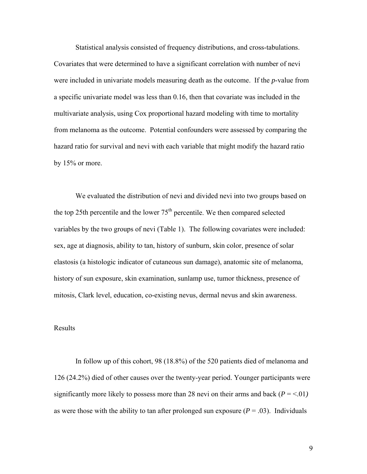Statistical analysis consisted of frequency distributions, and cross-tabulations. Covariates that were determined to have a significant correlation with number of nevi were included in univariate models measuring death as the outcome. If the *p*-value from a specific univariate model was less than 0.16, then that covariate was included in the multivariate analysis, using Cox proportional hazard modeling with time to mortality from melanoma as the outcome. Potential confounders were assessed by comparing the hazard ratio for survival and nevi with each variable that might modify the hazard ratio by 15% or more.

We evaluated the distribution of nevi and divided nevi into two groups based on the top 25th percentile and the lower  $75<sup>th</sup>$  percentile. We then compared selected variables by the two groups of nevi (Table 1). The following covariates were included: sex, age at diagnosis, ability to tan, history of sunburn, skin color, presence of solar elastosis (a histologic indicator of cutaneous sun damage), anatomic site of melanoma, history of sun exposure, skin examination, sunlamp use, tumor thickness, presence of mitosis, Clark level, education, co-existing nevus, dermal nevus and skin awareness.

#### Results

 In follow up of this cohort, 98 (18.8%) of the 520 patients died of melanoma and 126 (24.2%) died of other causes over the twenty-year period. Younger participants were significantly more likely to possess more than 28 nevi on their arms and back ( $P = \le 01$ ) as were those with the ability to tan after prolonged sun exposure  $(P = .03)$ . Individuals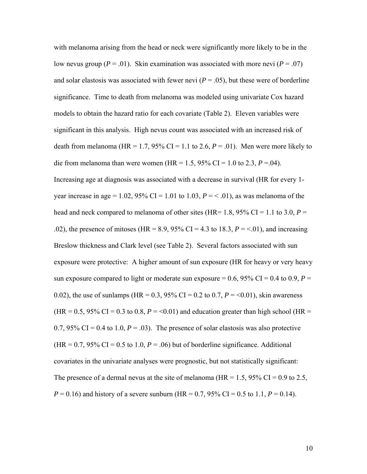with melanoma arising from the head or neck were significantly more likely to be in the low nevus group ( $P = .01$ ). Skin examination was associated with more nevi ( $P = .07$ ) and solar elastosis was associated with fewer nevi  $(P = .05)$ , but these were of borderline significance. Time to death from melanoma was modeled using univariate Cox hazard models to obtain the hazard ratio for each covariate (Table 2). Eleven variables were significant in this analysis. High nevus count was associated with an increased risk of death from melanoma (HR =  $1.7$ ,  $95\%$  CI =  $1.1$  to 2.6,  $P = .01$ ). Men were more likely to die from melanoma than were women (HR = 1.5, 95% CI = 1.0 to 2.3,  $P = .04$ ). Increasing age at diagnosis was associated with a decrease in survival (HR for every 1 year increase in age =  $1.02$ ,  $95\%$  CI =  $1.01$  to  $1.03$ ,  $P = \langle .01 \rangle$ , as was melanoma of the head and neck compared to melanoma of other sites (HR=  $1.8$ ,  $95\%$  CI =  $1.1$  to  $3.0$ ,  $P =$ .02), the presence of mitoses (HR = 8.9, 95% CI = 4.3 to 18.3, *P* = <.01), and increasing Breslow thickness and Clark level (see Table 2). Several factors associated with sun exposure were protective: A higher amount of sun exposure (HR for heavy or very heavy sun exposure compared to light or moderate sun exposure =  $0.6$ ,  $95\%$  CI =  $0.4$  to  $0.9$ ,  $P =$ 0.02), the use of sunlamps (HR =  $0.3$ ,  $95\%$  CI = 0.2 to 0.7,  $P = 0.01$ ), skin awareness (HR =  $0.5$ ,  $95\%$  CI =  $0.3$  to  $0.8$ ,  $P = \le 0.01$ ) and education greater than high school (HR = 0.7, 95% CI = 0.4 to 1.0,  $P = .03$ ). The presence of solar elastosis was also protective  $(HR = 0.7, 95\% \text{ CI} = 0.5 \text{ to } 1.0, P = .06)$  but of borderline significance. Additional covariates in the univariate analyses were prognostic, but not statistically significant: The presence of a dermal nevus at the site of melanoma (HR =  $1.5$ ,  $95\%$  CI = 0.9 to 2.5,  $P = 0.16$ ) and history of a severe sunburn (HR = 0.7, 95% CI = 0.5 to 1.1,  $P = 0.14$ ).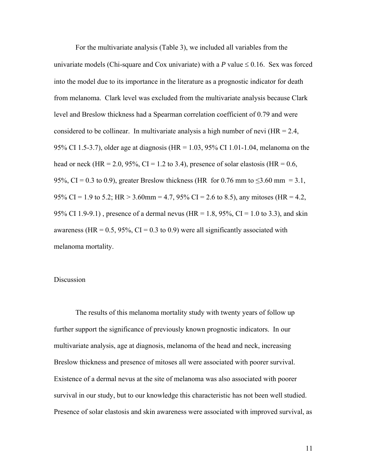For the multivariate analysis (Table 3), we included all variables from the univariate models (Chi-square and Cox univariate) with a  $P$  value  $\leq 0.16$ . Sex was forced into the model due to its importance in the literature as a prognostic indicator for death from melanoma. Clark level was excluded from the multivariate analysis because Clark level and Breslow thickness had a Spearman correlation coefficient of 0.79 and were considered to be collinear. In multivariate analysis a high number of nevi ( $HR = 2.4$ , 95% CI 1.5-3.7), older age at diagnosis (HR = 1.03, 95% CI 1.01-1.04, melanoma on the head or neck (HR = 2.0, 95%, CI = 1.2 to 3.4), presence of solar elastosis (HR = 0.6, 95%, CI = 0.3 to 0.9), greater Breslow thickness (HR for 0.76 mm to  $\leq$ 3.60 mm = 3.1, 95% CI = 1.9 to 5.2; HR > 3.60mm = 4.7, 95% CI = 2.6 to 8.5), any mitoses (HR = 4.2, 95% CI 1.9-9.1), presence of a dermal nevus (HR = 1.8, 95%, CI = 1.0 to 3.3), and skin awareness (HR =  $0.5$ ,  $95\%$ , CI =  $0.3$  to 0.9) were all significantly associated with melanoma mortality.

#### **Discussion**

The results of this melanoma mortality study with twenty years of follow up further support the significance of previously known prognostic indicators. In our multivariate analysis, age at diagnosis, melanoma of the head and neck, increasing Breslow thickness and presence of mitoses all were associated with poorer survival. Existence of a dermal nevus at the site of melanoma was also associated with poorer survival in our study, but to our knowledge this characteristic has not been well studied. Presence of solar elastosis and skin awareness were associated with improved survival, as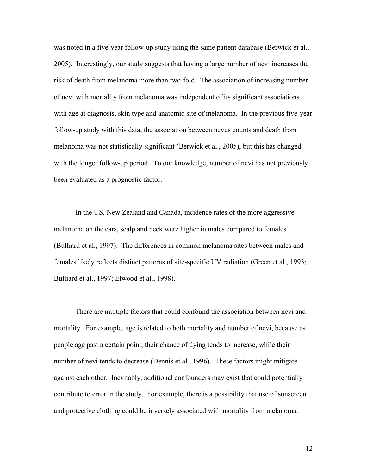was noted in a five-year follow-up study using the same patient database (Berwick et al., 2005). Interestingly, our study suggests that having a large number of nevi increases the risk of death from melanoma more than two-fold. The association of increasing number of nevi with mortality from melanoma was independent of its significant associations with age at diagnosis, skin type and anatomic site of melanoma. In the previous five-year follow-up study with this data, the association between nevus counts and death from melanoma was not statistically significant (Berwick et al., 2005), but this has changed with the longer follow-up period. To our knowledge, number of nevi has not previously been evaluated as a prognostic factor.

In the US, New Zealand and Canada, incidence rates of the more aggressive melanoma on the ears, scalp and neck were higher in males compared to females (Bulliard et al., 1997). The differences in common melanoma sites between males and females likely reflects distinct patterns of site-specific UV radiation (Green et al., 1993; Bulliard et al., 1997; Elwood et al., 1998).

There are multiple factors that could confound the association between nevi and mortality. For example, age is related to both mortality and number of nevi, because as people age past a certain point, their chance of dying tends to increase, while their number of nevi tends to decrease (Dennis et al., 1996). These factors might mitigate against each other. Inevitably, additional confounders may exist that could potentially contribute to error in the study. For example, there is a possibility that use of sunscreen and protective clothing could be inversely associated with mortality from melanoma.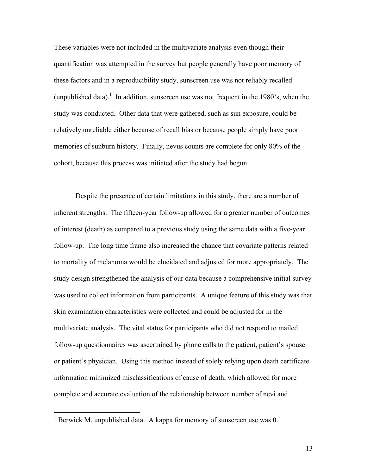These variables were not included in the multivariate analysis even though their quantification was attempted in the survey but people generally have poor memory of these factors and in a reproducibility study, sunscreen use was not reliably recalled (unpublished data).<sup>1</sup> In addition, sunscreen use was not frequent in the 1980's, when the study was conducted. Other data that were gathered, such as sun exposure, could be relatively unreliable either because of recall bias or because people simply have poor memories of sunburn history. Finally, nevus counts are complete for only 80% of the cohort, because this process was initiated after the study had begun.

Despite the presence of certain limitations in this study, there are a number of inherent strengths. The fifteen-year follow-up allowed for a greater number of outcomes of interest (death) as compared to a previous study using the same data with a five-year follow-up. The long time frame also increased the chance that covariate patterns related to mortality of melanoma would be elucidated and adjusted for more appropriately. The study design strengthened the analysis of our data because a comprehensive initial survey was used to collect information from participants. A unique feature of this study was that skin examination characteristics were collected and could be adjusted for in the multivariate analysis. The vital status for participants who did not respond to mailed follow-up questionnaires was ascertained by phone calls to the patient, patient's spouse or patient's physician. Using this method instead of solely relying upon death certificate information minimized misclassifications of cause of death, which allowed for more complete and accurate evaluation of the relationship between number of nevi and

<sup>&</sup>lt;sup>1</sup> Berwick M, unpublished data. A kappa for memory of sunscreen use was 0.1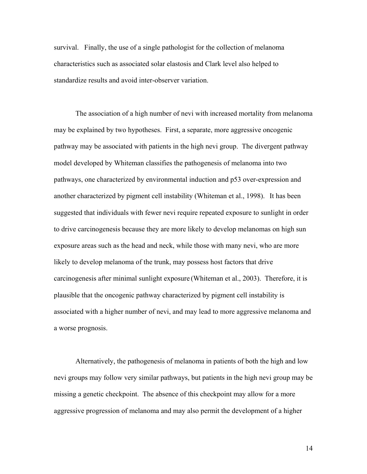survival. Finally, the use of a single pathologist for the collection of melanoma characteristics such as associated solar elastosis and Clark level also helped to standardize results and avoid inter-observer variation.

The association of a high number of nevi with increased mortality from melanoma may be explained by two hypotheses. First, a separate, more aggressive oncogenic pathway may be associated with patients in the high nevi group. The divergent pathway model developed by Whiteman classifies the pathogenesis of melanoma into two pathways, one characterized by environmental induction and p53 over-expression and another characterized by pigment cell instability (Whiteman et al., 1998). It has been suggested that individuals with fewer nevi require repeated exposure to sunlight in order to drive carcinogenesis because they are more likely to develop melanomas on high sun exposure areas such as the head and neck, while those with many nevi, who are more likely to develop melanoma of the trunk, may possess host factors that drive carcinogenesis after minimal sunlight exposure (Whiteman et al., 2003). Therefore, it is plausible that the oncogenic pathway characterized by pigment cell instability is associated with a higher number of nevi, and may lead to more aggressive melanoma and a worse prognosis.

Alternatively, the pathogenesis of melanoma in patients of both the high and low nevi groups may follow very similar pathways, but patients in the high nevi group may be missing a genetic checkpoint. The absence of this checkpoint may allow for a more aggressive progression of melanoma and may also permit the development of a higher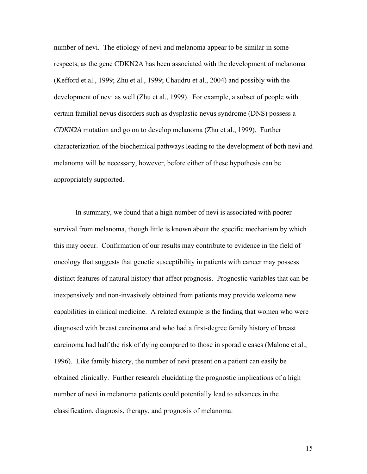number of nevi. The etiology of nevi and melanoma appear to be similar in some respects, as the gene CDKN2A has been associated with the development of melanoma (Kefford et al., 1999; Zhu et al., 1999; Chaudru et al., 2004) and possibly with the development of nevi as well (Zhu et al., 1999). For example, a subset of people with certain familial nevus disorders such as dysplastic nevus syndrome (DNS) possess a *CDKN2A* mutation and go on to develop melanoma (Zhu et al., 1999). Further characterization of the biochemical pathways leading to the development of both nevi and melanoma will be necessary, however, before either of these hypothesis can be appropriately supported.

In summary, we found that a high number of nevi is associated with poorer survival from melanoma, though little is known about the specific mechanism by which this may occur. Confirmation of our results may contribute to evidence in the field of oncology that suggests that genetic susceptibility in patients with cancer may possess distinct features of natural history that affect prognosis. Prognostic variables that can be inexpensively and non-invasively obtained from patients may provide welcome new capabilities in clinical medicine. A related example is the finding that women who were diagnosed with breast carcinoma and who had a first-degree family history of breast carcinoma had half the risk of dying compared to those in sporadic cases (Malone et al., 1996). Like family history, the number of nevi present on a patient can easily be obtained clinically. Further research elucidating the prognostic implications of a high number of nevi in melanoma patients could potentially lead to advances in the classification, diagnosis, therapy, and prognosis of melanoma.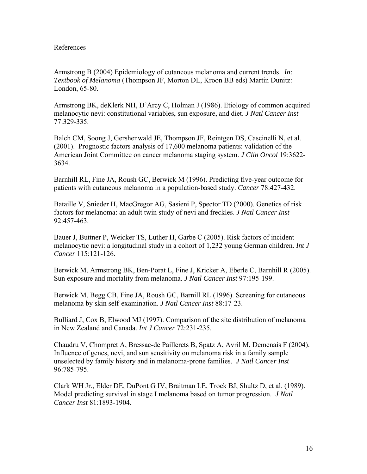#### References

Armstrong B (2004) Epidemiology of cutaneous melanoma and current trends. *In: Textbook of Melanoma* (Thompson JF, Morton DL, Kroon BB eds) Martin Dunitz: London, 65-80.

Armstrong BK, deKlerk NH, D'Arcy C, Holman J (1986). Etiology of common acquired melanocytic nevi: constitutional variables, sun exposure, and diet. *J Natl Cancer Inst* 77:329-335.

Balch CM, Soong J, Gershenwald JE, Thompson JF, Reintgen DS, Cascinelli N, et al. (2001). Prognostic factors analysis of 17,600 melanoma patients: validation of the American Joint Committee on cancer melanoma staging system. *J Clin Oncol* 19:3622- 3634.

Barnhill RL, Fine JA, Roush GC, Berwick M (1996). Predicting five-year outcome for patients with cutaneous melanoma in a population-based study. *Cancer* 78:427-432.

Bataille V, Snieder H, MacGregor AG, Sasieni P, Spector TD (2000). Genetics of risk factors for melanoma: an adult twin study of nevi and freckles. *J Natl Cancer Inst* 92:457-463.

Bauer J, Buttner P, Weicker TS, Luther H, Garbe C (2005). Risk factors of incident melanocytic nevi: a longitudinal study in a cohort of 1,232 young German children. *Int J Cancer* 115:121-126.

Berwick M, Armstrong BK, Ben-Porat L, Fine J, Kricker A, Eberle C, Barnhill R (2005). Sun exposure and mortality from melanoma. *J Natl Cancer Inst* 97:195-199.

Berwick M, Begg CB, Fine JA, Roush GC, Barnill RL (1996). Screening for cutaneous melanoma by skin self-examination. *J Natl Cancer Inst* 88:17-23.

Bulliard J, Cox B, Elwood MJ (1997). Comparison of the site distribution of melanoma in New Zealand and Canada. *Int J Cancer* 72:231-235.

Chaudru V, Chompret A, Bressac-de Paillerets B, Spatz A, Avril M, Demenais F (2004). Influence of genes, nevi, and sun sensitivity on melanoma risk in a family sample unselected by family history and in melanoma-prone families. *J Natl Cancer Inst* 96:785-795.

Clark WH Jr., Elder DE, DuPont G IV, Braitman LE, Trock BJ, Shultz D, et al. (1989). Model predicting survival in stage I melanoma based on tumor progression. *J Natl Cancer Inst* 81:1893-1904.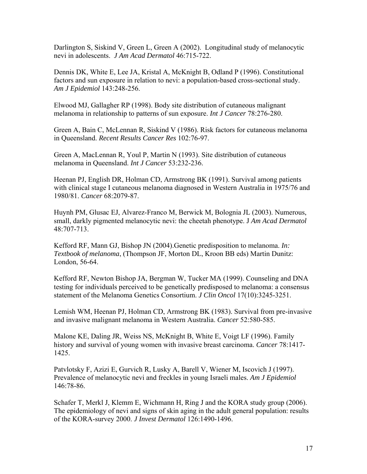Darlington S, Siskind V, Green L, Green A (2002). Longitudinal study of melanocytic nevi in adolescents. *J Am Acad Dermatol* 46:715-722.

Dennis DK, White E, Lee JA, Kristal A, McKnight B, Odland P (1996). Constitutional factors and sun exposure in relation to nevi: a population-based cross-sectional study. *Am J Epidemiol* 143:248-256.

Elwood MJ, Gallagher RP (1998). Body site distribution of cutaneous malignant melanoma in relationship to patterns of sun exposure. *Int J Cancer* 78:276-280.

Green A, Bain C, McLennan R, Siskind V (1986). Risk factors for cutaneous melanoma in Queensland. *Recent Results Cancer Res* 102:76-97.

Green A, MacLennan R, Youl P, Martin N (1993). Site distribution of cutaneous melanoma in Queensland. *Int J Cancer* 53:232-236.

Heenan PJ, English DR, Holman CD, Armstrong BK (1991). Survival among patients with clinical stage I cutaneous melanoma diagnosed in Western Australia in 1975/76 and 1980/81. *Cancer* 68:2079-87.

Huynh PM, Glusac EJ, Alvarez-Franco M, Berwick M, Bolognia JL (2003). Numerous, small, darkly pigmented melanocytic nevi: the cheetah phenotype. J *Am Acad Dermatol* 48:707-713.

Kefford RF, Mann GJ, Bishop JN (2004).Genetic predisposition to melanoma. *In: Textbook of melanoma*, (Thompson JF, Morton DL, Kroon BB eds) Martin Dunitz: London, 56-64.

Kefford RF, Newton Bishop JA, Bergman W, Tucker MA (1999). Counseling and DNA testing for individuals perceived to be genetically predisposed to melanoma: a consensus statement of the Melanoma Genetics Consortium. *J Clin Oncol* 17(10):3245-3251.

Lemish WM, Heenan PJ, Holman CD, Armstrong BK (1983). Survival from pre-invasive and invasive malignant melanoma in Western Australia. *Cancer* 52:580-585.

Malone KE, Daling JR, Weiss NS, McKnight B, White E, Voigt LF (1996). Family history and survival of young women with invasive breast carcinoma. *Cancer* 78:1417- 1425.

Patvlotsky F, Azizi E, Gurvich R, Lusky A, Barell V, Wiener M, Iscovich J (1997). Prevalence of melanocytic nevi and freckles in young Israeli males. *Am J Epidemiol* 146:78-86.

Schafer T, Merkl J, Klemm E, Wichmann H, Ring J and the KORA study group (2006). The epidemiology of nevi and signs of skin aging in the adult general population: results of the KORA-survey 2000. *J Invest Dermatol* 126:1490-1496.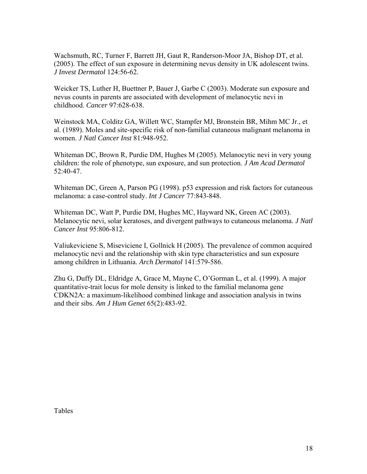Wachsmuth, RC, Turner F, Barrett JH, Gaut R, Randerson-Moor JA, Bishop DT, et al. (2005). The effect of sun exposure in determining nevus density in UK adolescent twins. *J Invest Dermatol* 124:56-62.

Weicker TS, Luther H, Buettner P, Bauer J, Garbe C (2003). Moderate sun exposure and nevus counts in parents are associated with development of melanocytic nevi in childhood. *Cancer* 97:628-638.

Weinstock MA, Colditz GA, Willett WC, Stampfer MJ, Bronstein BR, Mihm MC Jr., et al. (1989). Moles and site-specific risk of non-familial cutaneous malignant melanoma in women. *J Natl Cancer Inst* 81:948-952.

Whiteman DC, Brown R, Purdie DM, Hughes M (2005). Melanocytic nevi in very young children: the role of phenotype, sun exposure, and sun protection. *J Am Acad Dermatol*  52:40-47.

Whiteman DC, Green A, Parson PG (1998). p53 expression and risk factors for cutaneous melanoma: a case-control study. *Int J Cancer* 77:843-848.

Whiteman DC, Watt P, Purdie DM, Hughes MC, Hayward NK, Green AC (2003). Melanocytic nevi, solar keratoses, and divergent pathways to cutaneous melanoma. *J Natl Cancer Inst* 95:806-812.

Valiukeviciene S, Miseviciene I, Gollnick H (2005). The prevalence of common acquired melanocytic nevi and the relationship with skin type characteristics and sun exposure among children in Lithuania. *Arch Dermatol* 141:579-586.

Zhu G, Duffy DL, Eldridge A, Grace M, Mayne C, O'Gorman L, et al. (1999). A major quantitative-trait locus for mole density is linked to the familial melanoma gene CDKN2A: a maximum-likelihood combined linkage and association analysis in twins and their sibs. *Am J Hum Genet* 65(2):483-92.

Tables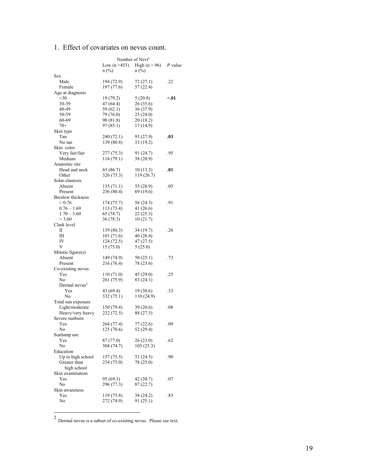## 1. Effect of covariates on nevus count.

|                                         | Number of Nevi <sup>a</sup> |                                 |         |
|-----------------------------------------|-----------------------------|---------------------------------|---------|
|                                         |                             | Low $(n = 453)$ High $(n = 96)$ | P value |
|                                         | $n$ (%)                     | $n$ (%)                         |         |
| Sex                                     |                             |                                 |         |
| Male<br>Female                          | 194 (72.9)<br>197 (77.6)    | 72(27.1)<br>57 (22.4)           | .22     |
| Age at diagnosis                        |                             |                                 |         |
| $30$                                    | 19 (79.2)                   | 5(20.8)                         | < 01    |
| 30-39                                   | 47 (64.4)                   | 26 (35.6)                       |         |
| 40-49                                   | 59 (62.1)                   | 36 (37.9)                       |         |
| 50-59                                   | 79 (76.0)                   | 25(24.0)                        |         |
| 60-69                                   | 90 (81.8)                   | 20 (18.2)                       |         |
| $70+$                                   | 97 (85.1)                   | 17(14.9)                        |         |
| Skin type                               |                             |                                 |         |
| Tan<br>No tan                           | 240 (72.1)<br>139 (80.8)    | 93 (27.9)                       | .03     |
| Skin color                              |                             | 33 (19.2)                       |         |
| Very fair/fair                          | 277(75.3)                   | 91 (24.7)                       | .95     |
| Medium                                  | 114(79.1)                   | 38 (20.9)                       |         |
| Anatomic site                           |                             |                                 |         |
| Head and neck                           | 65 (86.7)                   | 10(13.3)                        | .01     |
| Other                                   | 326 (73.3)                  | 119 (26.7)                      |         |
| Solar elastosis                         |                             |                                 |         |
| Absent                                  | 135(71.1)                   | 55 (28.9)                       | .05     |
| Present                                 | 236 (80.4)                  | 69 (19.6)                       |         |
| <b>Breslow</b> thickness<br>${}_{0.76}$ |                             |                                 |         |
| $0.76 - 1.69$                           | 174 (75.7)<br>113 (73.4)    | 56 (24.3)<br>41 (26.6)          | .91     |
| $1.70 - 3.60$                           | 65(74.7)                    | 22(25.3)                        |         |
| > 3.60                                  | 36(78.3)                    | 10(21.7)                        |         |
| Clark level                             |                             |                                 |         |
| П                                       | 139 (80.3)                  | 34 (19.7)                       | .26     |
| Ш                                       | 101 (71.6)                  | 40 (28.4)                       |         |
| IV                                      | 124 (72.5)                  | 47 (27.5)                       |         |
| V                                       | 15 (75.0)                   | 5(25.0)                         |         |
| Mitotic figure(s)                       |                             |                                 |         |
| Absent<br>Present                       | 149 (74.9)<br>216 (76.4)    | 50(25.1)<br>78 (23.6)           | .73     |
| Co-existing nevus                       |                             |                                 |         |
| Yes                                     | 110 (71.0)                  | 45 (29.0)                       | .25     |
| N <sub>0</sub>                          | 261 (75.9)                  | 83 (24.1)                       |         |
| Dermal nevus <sup>2</sup>               |                             |                                 |         |
| Yes                                     | 43 (69.4)                   | 19 (30.6)                       | .33     |
| No                                      | 332(75.1)                   | 110 (24.9)                      |         |
| Total sun exposure                      |                             |                                 |         |
| Light/moderate                          | 150 (79.4)                  | 39 (20.6)                       | .08     |
| Heavy/very heavy<br>Severe sunburn      | 232 (72.5)                  | 88 (27.5)                       |         |
| Yes                                     | 264 (77.4)                  | 77 (22.6)                       | .09     |
| No                                      | 125 (70.6)                  | 52 (29.4)                       |         |
| Sunlamp use                             |                             |                                 |         |
| Yes                                     | 87 (77.0)                   | 26 (23.0)                       | .62     |
| No                                      | 304 (74.7)                  | 103(25.3)                       |         |
| Education                               |                             |                                 |         |
| Up to high school                       | 157 (75.5)                  | 51 (24.5)                       | .90     |
| Greater than                            | 234 (75.0)                  | 78 (25.0)                       |         |
| high school                             |                             |                                 |         |
| Skin examination<br>Yes                 | 95 (69.3)                   | 42 (30.7)                       | .07     |
| No                                      | 296 (77.3)                  | 87 (22.7)                       |         |
| Skin awareness                          |                             |                                 |         |
| Yes                                     | 119 (75.8)                  | 38 (24.2)                       | .83     |
| No                                      | 272 (74.9)                  | 91(25.1)                        |         |
|                                         |                             |                                 |         |
|                                         |                             |                                 |         |

 $2$  Dermal nevus is a subset of co-existing nevus. Please see text.

 $\overline{a}$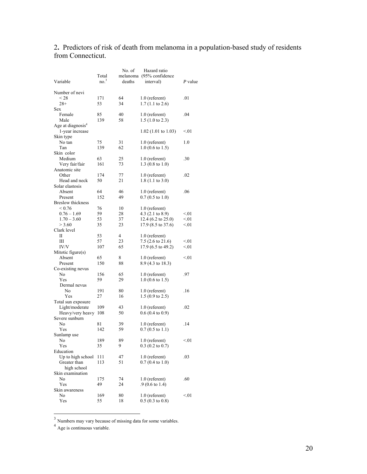### 2**.** Predictors of risk of death from melanoma in a population-based study of residents from Connecticut.

| Variable                            | Total<br>no <sup>3</sup> | No. of<br>melanoma<br>deaths | Hazard ratio<br>$(95%$ confidence<br>interval) | P value |
|-------------------------------------|--------------------------|------------------------------|------------------------------------------------|---------|
| Number of nevi                      |                          |                              |                                                |         |
| < 28                                | 171                      | 64                           | $1.0$ (referent)                               | .01     |
| $28+$                               | 53                       | 34                           | $1.7(1.1 \text{ to } 2.6)$                     |         |
| Sex.                                |                          |                              |                                                |         |
| Female                              | 85                       | 40                           | $1.0$ (referent)                               | .04     |
| Male                                | 139                      | 58                           | $1.5(1.0 \text{ to } 2.3)$                     |         |
| Age at diagnosis <sup>4</sup>       |                          |                              |                                                |         |
| 1-year increase                     |                          |                              | $1.02$ (1.01 to 1.03)                          | < 01    |
| Skin type                           |                          |                              |                                                |         |
| No tan                              | 75                       | 31                           | $1.0$ (referent)                               | 1.0     |
| Tan                                 | 139                      | 62                           | $1.0$ (0.6 to 1.5)                             |         |
| Skin color                          |                          |                              |                                                |         |
| Medium                              | 63                       | 25                           | $1.0$ (referent)                               | .30     |
| Very fair/fair                      | 161                      | 73                           | $1.3$ (0.8 to 1.0)                             |         |
| Anatomic site                       |                          |                              |                                                |         |
| Other                               | 174<br>50                | 77<br>21                     | $1.0$ (referent)<br>$1.8(1.1 \text{ to } 3.0)$ | .02     |
| Head and neck<br>Solar elastosis    |                          |                              |                                                |         |
|                                     | 64                       | 46                           |                                                | .06     |
| Absent                              | 152                      | 49                           | $1.0$ (referent)<br>$0.7(0.5 \text{ to } 1.0)$ |         |
| Present<br><b>Breslow</b> thickness |                          |                              |                                                |         |
| ${}_{0.76}$                         | 76                       | 10                           | $1.0$ (referent)                               |         |
| $0.76 - 1.69$                       | 59                       | 28                           | 4.3 $(2.1 \text{ to } 8.9)$                    | < 01    |
| $1.70 - 3.60$                       | 53                       | 37                           | 12.4 (6.2 to 25.0)                             | < 01    |
| > 3.60                              | 35                       | 23                           | 17.9 (8.5 to 37.6)                             | < 01    |
| Clark level                         |                          |                              |                                                |         |
| П                                   | 53                       | 4                            | $1.0$ (referent)                               |         |
| Ш                                   | 57                       | 23                           | 7.5 (2.6 to 21.6)                              | < 01    |
| IV/V                                | 107                      | 65                           | 17.9 (6.5 to 49.2)                             | < 01    |
| Mitotic figure(s)                   |                          |                              |                                                |         |
| Absent                              | 65                       | 8                            | $1.0$ (referent)                               | < 01    |
| Present                             | 150                      | 88                           | 8.9 (4.3 to 18.3)                              |         |
| Co-existing nevus                   |                          |                              |                                                |         |
| No                                  | 156                      | 65                           | $1.0$ (referent)                               | .97     |
| Yes                                 | 59                       | 29                           | $1.0$ (0.6 to 1.5)                             |         |
| Dermal nevus                        |                          |                              |                                                |         |
| N <sub>0</sub>                      | 191                      | 80                           | 1.0 (referent)                                 | .16     |
| Yes                                 | 27                       | 16                           | $1.5(0.9 \text{ to } 2.5)$                     |         |
| Total sun exposure                  |                          |                              |                                                |         |
| Light/moderate                      | 109                      | 43                           | $1.0$ (referent)                               | .02     |
| Heavy/very heavy                    | 108                      | 50                           | $0.6(0.4 \text{ to } 0.9)$                     |         |
| Severe sunburn                      |                          |                              |                                                |         |
| No                                  | 81                       | 39                           | 1.0 (referent)                                 | .14     |
| Yes                                 | 142                      | 59                           | $0.7(0.5 \text{ to } 1.1)$                     |         |
| Sunlamp use                         |                          |                              |                                                |         |
| No                                  | 189                      | 89                           | 1.0 (referent)                                 | < 01    |
| Yes                                 | 35                       | 9                            | $0.3$ (0.2 to 0.7)                             |         |
| Education                           |                          |                              |                                                |         |
| Up to high school                   | 111                      | 47                           | $1.0$ (referent)                               | .03     |
| Greater than                        | 113                      | 51                           | $0.7(0.4 \text{ to } 1.0)$                     |         |
| high school                         |                          |                              |                                                |         |
| Skin examination                    |                          |                              |                                                |         |
| No                                  | 175                      | 74                           | $1.0$ (referent)                               | .60     |
| Yes                                 | 49                       | 24                           | .9 (0.6 to 1.4)                                |         |
| Skin awareness                      |                          |                              |                                                |         |
| No                                  | 169                      | 80                           | 1.0 (referent)                                 | < 01    |
| Yes                                 | 55                       | 18                           | $0.5(0.3 \text{ to } 0.8)$                     |         |
|                                     |                          |                              |                                                |         |

 $3$  Numbers may vary because of missing data for some variables.

 $\overline{a}$ 

<sup>&</sup>lt;sup>4</sup> Age is continuous variable.